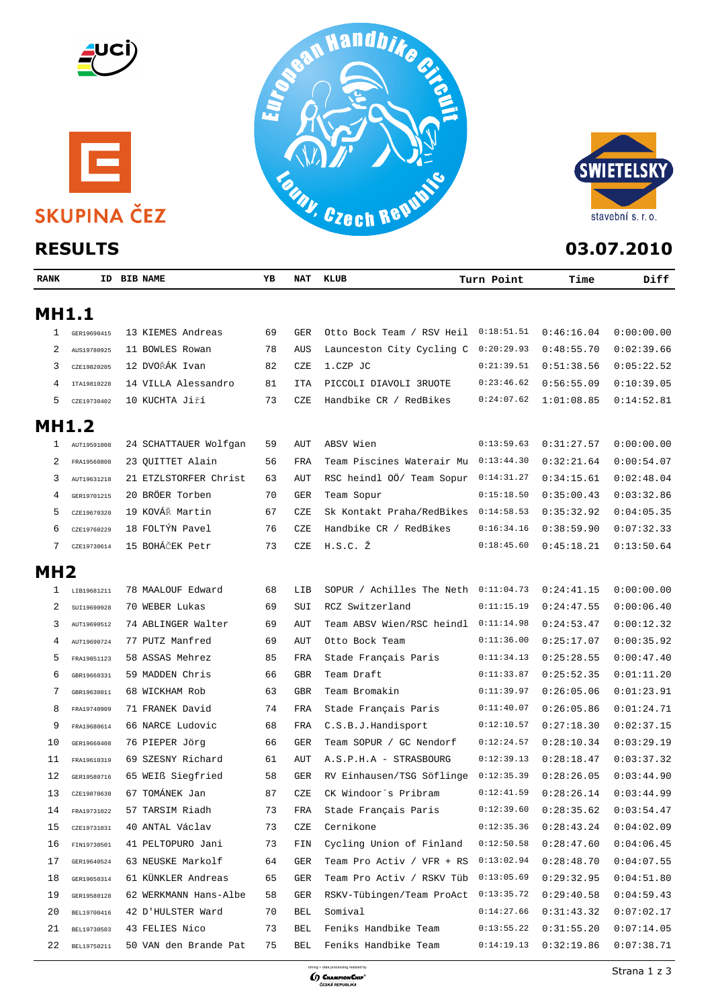







| <b>RANK</b>     |                | <b>ID BIB NAME</b>    | ΥB | NAT | KLUB                      | Turn Point | Time                      | Diff       |
|-----------------|----------------|-----------------------|----|-----|---------------------------|------------|---------------------------|------------|
| <b>MH1.1</b>    |                |                       |    |     |                           |            |                           |            |
| 1               | GER19690415    | 13 KIEMES Andreas     | 69 | GER | Otto Bock Team / RSV Heil | 0:18:51.51 | 0:46:16.04                | 0:00:00.00 |
| 2               | AUS19780925    | 11 BOWLES Rowan       | 78 | AUS | Launceston City Cycling C | 0:20:29.93 | 0:48:55.70                | 0:02:39.66 |
| 3               | CZE19820205    | 12 DVOŘÁK Ivan        | 82 | CZE | 1.CZP JC                  | 0:21:39.51 | 0:51:38.56                | 0:05:22.52 |
| 4               | ITA19810228    | 14 VILLA Alessandro   | 81 | ITA | PICCOLI DIAVOLI 3RUOTE    | 0:23:46.62 | 0:56:55.09                | 0:10:39.05 |
| 5               | CZE19730402    | 10 KUCHTA Jiří        | 73 | CZE | Handbike CR / RedBikes    | 0:24:07.62 | 1:01:08.85                | 0:14:52.81 |
| <b>MH1.2</b>    |                |                       |    |     |                           |            |                           |            |
| 1               | AUT19591008    | 24 SCHATTAUER Wolfgan | 59 | AUT | ABSV Wien                 | 0:13:59.63 | 0:31:27.57                | 0:00:00.00 |
| 2               | FRA19560808    | 23 QUITTET Alain      | 56 | FRA | Team Piscines Waterair Mu | 0:13:44.30 | 0:32:21.64                | 0:00:54.07 |
| 3               | AUT19631218    | 21 ETZLSTORFER Christ | 63 | AUT | RSC heindl 00/ Team Sopur | 0:14:31.27 | 0:34:15.61                | 0:02:48.04 |
| 4               | GER19701215    | 20 BRÖER Torben       | 70 | GER | Team Sopur                | 0:15:18.50 | 0:35:00.43                | 0:03:32.86 |
| 5               | CZE19670320    | 19 KOVÁŘ Martin       | 67 | CZE | Sk Kontakt Praha/RedBikes | 0:14:58.53 | 0:35:32.92                | 0:04:05.35 |
| 6               | CZE19760229    | 18 FOLTÝN Pavel       | 76 | CZE | Handbike CR / RedBikes    | 0:16:34.16 | 0:38:59.90                | 0:07:32.33 |
| 7               | CZE19730614    | 15 BOHÁČEK Petr       | 73 | CZE | $H.S.C. \Sigma$           | 0:18:45.60 | 0:45:18.21                | 0:13:50.64 |
| MH <sub>2</sub> |                |                       |    |     |                           |            |                           |            |
| 1               | LIB19681211    | 78 MAALOUF Edward     | 68 | LIB | SOPUR / Achilles The Neth | 0:11:04.73 | 0:24:41.15                | 0:00:00.00 |
| 2               | SUI19690928    | 70 WEBER Lukas        | 69 | SUI | RCZ Switzerland           | 0:11:15.19 | 0:24:47.55                | 0:00:06.40 |
| 3               | AUT19690512    | 74 ABLINGER Walter    | 69 | AUT | Team ABSV Wien/RSC heindl | 0:11:14.98 | 0:24:53.47                | 0:00:12.32 |
| 4               | AUT19690724    | 77 PUTZ Manfred       | 69 | AUT | Otto Bock Team            | 0:11:36.00 | 0:25:17.07                | 0:00:35.92 |
| 5               | FRA19851123    | 58 ASSAS Mehrez       | 85 | FRA | Stade Français Paris      | 0:11:34.13 | 0:25:28.55                | 0:00:47.40 |
| 6               | GBR19660331    | 59 MADDEN Chris       | 66 | GBR | Team Draft                | 0:11:33.87 | 0:25:52.35                | 0:01:11.20 |
| 7               | GBR19630811    | 68 WICKHAM Rob        | 63 | GBR | Team Bromakin             | 0:11:39.97 | 0:26:05.06                | 0:01:23.91 |
| 8               | FRA19740909    | 71 FRANEK David       | 74 | FRA | Stade Français Paris      | 0:11:40.07 | 0:26:05.86                | 0:01:24.71 |
| 9               | FRA19680614    | 66 NARCE Ludovic      | 68 | FRA | C.S.B.J.Handisport        | 0:12:10.57 | 0:27:18.30                | 0:02:37.15 |
| 10              | GER19660408    | 76 PIEPER Jörg        | 66 | GER | Team SOPUR / GC Nendorf   | 0:12:24.57 | 0:28:10.34                | 0:03:29.19 |
| 11              | FRA19610319    | 69 SZESNY Richard     | 61 | AUT | A.S.P.H.A - STRASBOURG    | 0:12:39.13 | 0:28:18.47                | 0:03:37.32 |
| 12              | GER19580716    | 65 WEIß Siegfried     | 58 | GER | RV Einhausen/TSG Söflinge | 0:12:35.39 | 0:28:26.05                | 0:03:44.90 |
| 13              | CZE19870630    | 67 TOMÁNEK Jan        | 87 | CZE | CK Windoor's Pribram      | 0:12:41.59 | 0:28:26.14                | 0:03:44.99 |
|                 | 14 FRA19731022 | 57 TARSIM Riadh       | 73 |     | FRA Stade Français Paris  | 0:12:39.60 | $0:28:35.62$ $0:03:54.47$ |            |
| 15              | CZE19731031    | 40 ANTAL Václav       | 73 | CZE | Cernikone                 | 0:12:35.36 | 0:28:43.24                | 0:04:02.09 |
| 16              | FIN19730501    | 41 PELTOPURO Jani     | 73 | FIN | Cycling Union of Finland  | 0:12:50.58 | 0:28:47.60                | 0:04:06.45 |
| 17              | GER19640524    | 63 NEUSKE Markolf     | 64 | GER | Team Pro Activ / VFR + RS | 0:13:02.94 | 0:28:48.70                | 0:04:07.55 |
| 18              | GER19650314    | 61 KÜNKLER Andreas    | 65 | GER | Team Pro Activ / RSKV Tüb | 0:13:05.69 | 0:29:32.95                | 0:04:51.80 |
| 19              | GER19580128    | 62 WERKMANN Hans-Albe | 58 | GER | RSKV-Tübingen/Team ProAct | 0:13:35.72 | 0:29:40.58                | 0:04:59.43 |
| 20              | BEL19700416    | 42 D'HULSTER Ward     | 70 | BEL | Somival                   | 0:14:27.66 | 0:31:43.32                | 0:07:02.17 |
| 21              | BEL19730503    | 43 FELIES Nico        | 73 | BEL | Feniks Handbike Team      | 0:13:55.22 | 0:31:55.20                | 0:07:14.05 |
| 22              | BEL19750211    | 50 VAN den Brande Pat | 75 | BEL | Feniks Handbike Team      | 0:14:19.13 | 0:32:19.86                | 0:07:38.71 |
|                 |                |                       |    |     |                           |            |                           |            |

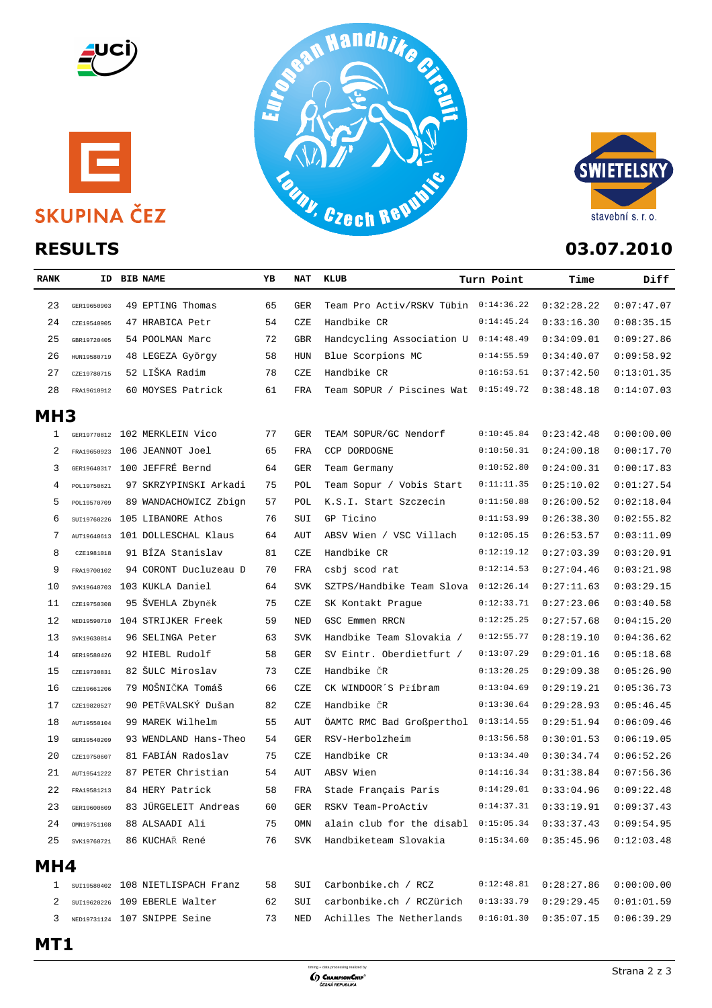







| <b>RANK</b>     |             | ID BIB NAME                       | ΥB | NA T       | KLUB                                 | Turn Point | Time       | Diff       |
|-----------------|-------------|-----------------------------------|----|------------|--------------------------------------|------------|------------|------------|
| 23              | GER19650903 | 49 EPTING Thomas                  | 65 | <b>GER</b> | Team Pro Activ/RSKV Tübin 0:14:36.22 |            | 0:32:28.22 | 0:07:47.07 |
| 24              | CZE19540905 | 47 HRABICA Petr                   | 54 | CZE        | Handbike CR                          | 0:14:45.24 | 0:33:16.30 | 0:08:35.15 |
| 25              | GBR19720405 | 54 POOLMAN Marc                   | 72 | <b>GBR</b> | Handcycling Association U 0:14:48.49 |            | 0:34:09.01 | 0:09:27.86 |
| 26              | HUN19580719 | 48 LEGEZA György                  | 58 | <b>HUN</b> | Blue Scorpions MC                    | 0:14:55.59 | 0:34:40.07 | 0:09:58.92 |
| 27              | CZE19780715 | 52 LIŠKA Radim                    | 78 | CZE        | Handbike CR                          | 0:16:53.51 | 0:37:42.50 | 0:13:01.35 |
| 28              | FRA19610912 | 60 MOYSES Patrick                 | 61 | FRA        | Team SOPUR / Piscines Wat 0:15:49.72 |            | 0:38:48.18 | 0:14:07.03 |
| MH <sub>3</sub> |             |                                   |    |            |                                      |            |            |            |
| 1               |             | GER19770812 102 MERKLEIN Vico     | 77 | <b>GER</b> | TEAM SOPUR/GC Nendorf                | 0:10:45.84 | 0:23:42.48 | 0:00:00.00 |
| 2               |             | FRA19650923 106 JEANNOT Joel      | 65 | FRA        | CCP DORDOGNE                         | 0:10:50.31 | 0:24:00.18 | 0:00:17.70 |
| 3               |             | GER19640317 100 JEFFRÉ Bernd      | 64 | <b>GER</b> | Team Germany                         | 0:10:52.80 | 0:24:00.31 | 0:00:17.83 |
| 4               | POL19750621 | 97 SKRZYPINSKI Arkadi             | 75 | POL        | Team Sopur / Vobis Start             | 0:11:11.35 | 0:25:10.02 | 0:01:27.54 |
| 5               | POL19570709 | 89 WANDACHOWICZ Zbign             | 57 | POL        | K.S.I. Start Szczecin                | 0:11:50.88 | 0:26:00.52 | 0:02:18.04 |
| 6               | SUI19760226 | 105 LIBANORE Athos                | 76 | SUI        | GP Ticino                            | 0:11:53.99 | 0:26:38.30 | 0:02:55.82 |
| 7               |             | AUT19640613 101 DOLLESCHAL Klaus  | 64 | AUT        | ABSV Wien / VSC Villach              | 0:12:05.15 | 0:26:53.57 | 0:03:11.09 |
| 8               | CZE1981018  | 91 BÍZA Stanislav                 | 81 | CZE        | Handbike CR                          | 0:12:19.12 | 0:27:03.39 | 0:03:20.91 |
| 9               | FRA19700102 | 94 CORONT Ducluzeau D             | 70 | <b>FRA</b> | csbj scod rat                        | 0:12:14.53 | 0:27:04.46 | 0:03:21.98 |
| 10              |             | SVK19640703 103 KUKLA Daniel      | 64 | <b>SVK</b> | SZTPS/Handbike Team Slova 0:12:26.14 |            | 0:27:11.63 | 0:03:29.15 |
| 11              | CZE19750308 | 95 ŠVEHLA Zbyněk                  | 75 | CZE        | SK Kontakt Prague                    | 0:12:33.71 | 0:27:23.06 | 0:03:40.58 |
| 12              | NED19590710 | 104 STRIJKER Freek                | 59 | <b>NED</b> | GSC Emmen RRCN                       | 0:12:25.25 | 0:27:57.68 | 0:04:15.20 |
| 13              | SVK19630814 | 96 SELINGA Peter                  | 63 | <b>SVK</b> | Handbike Team Slovakia /             | 0:12:55.77 | 0:28:19.10 | 0:04:36.62 |
| 14              | GER19580426 | 92 HIEBL Rudolf                   | 58 | <b>GER</b> | SV Eintr. Oberdietfurt /             | 0:13:07.29 | 0:29:01.16 | 0:05:18.68 |
| 15              | CZE19730831 | 82 ŠULC Miroslav                  | 73 | CZE        | Handbike ČR                          | 0:13:20.25 | 0:29:09.38 | 0:05:26.90 |
| 16              | CZE19661206 | 79 MOŠNIČKA Tomáš                 | 66 | CZE        | CK WINDOOR'S Příbram                 | 0:13:04.69 | 0:29:19.21 | 0:05:36.73 |
| 17              | CZE19820527 | 90 PETŘVALSKÝ Dušan               | 82 | CZE        | Handbike ČR                          | 0:13:30.64 | 0:29:28.93 | 0:05:46.45 |
| 18              | AUT19550104 | 99 MAREK Wilhelm                  | 55 | AUT        | ÖAMTC RMC Bad Großperthol 0:13:14.55 |            | 0:29:51.94 | 0:06:09.46 |
| 19              | GER19540209 | 93 WENDLAND Hans-Theo             | 54 | <b>GER</b> | RSV-Herbolzheim                      | 0:13:56.58 | 0:30:01.53 | 0:06:19.05 |
| 20              | CZE19750607 | 81 FABIÁN Radoslav                | 75 | CZE        | Handbike CR                          | 0:13:34.40 | 0:30:34.74 | 0:06:52.26 |
| 21              | AUT19541222 | 87 PETER Christian                | 54 | AUT        | ABSV Wien                            | 0:14:16.34 | 0:31:38.84 | 0:07:56.36 |
| 22              | FRA19581213 | 84 HERY Patrick                   | 58 | FRA        | Stade Français Paris                 | 0:14:29.01 | 0:33:04.96 | 0:09:22.48 |
| 23              | GER19600609 | 83 JÜRGELEIT Andreas              | 60 | GER        | RSKV Team-ProActiv                   | 0:14:37.31 | 0:33:19.91 | 0:09:37.43 |
| 24              | OMN19751108 | 88 ALSAADI Ali                    | 75 | OMN        | alain club for the disabl 0:15:05.34 |            | 0:33:37.43 | 0:09:54.95 |
| 25              |             | SVK19760721 86 KUCHAŘ René        | 76 | <b>SVK</b> | Handbiketeam Slovakia                | 0:15:34.60 | 0:35:45.96 | 0:12:03.48 |
| MH4             |             |                                   |    |            |                                      |            |            |            |
| 1               |             | SUI19580402 108 NIETLISPACH Franz | 58 | SUI        | Carbonbike.ch / RCZ                  | 0:12:48.81 | 0:28:27.86 | 0:00:00.00 |
| 2               |             | SUI19620226 109 EBERLE Walter     | 62 | SUI        | carbonbike.ch / RCZürich             | 0:13:33.79 | 0:29:29.45 | 0:01:01.59 |
| 3               |             | NED19731124 107 SNIPPE Seine      | 73 | NED        | Achilles The Netherlands             | 0:16:01.30 | 0:35:07.15 | 0:06:39.29 |
|                 |             |                                   |    |            |                                      |            |            |            |